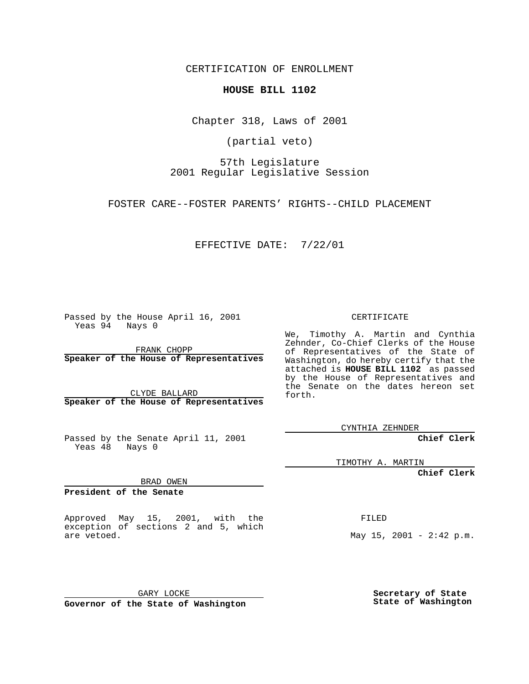CERTIFICATION OF ENROLLMENT

## **HOUSE BILL 1102**

Chapter 318, Laws of 2001

(partial veto)

57th Legislature 2001 Regular Legislative Session

FOSTER CARE--FOSTER PARENTS' RIGHTS--CHILD PLACEMENT

EFFECTIVE DATE: 7/22/01

Passed by the House April 16, 2001 Yeas 94 Nays 0

FRANK CHOPP **Speaker of the House of Representatives**

CLYDE BALLARD **Speaker of the House of Representatives**

Passed by the Senate April 11, 2001 Yeas 48 Nays 0

CERTIFICATE

We, Timothy A. Martin and Cynthia Zehnder, Co-Chief Clerks of the House of Representatives of the State of Washington, do hereby certify that the attached is **HOUSE BILL 1102** as passed by the House of Representatives and the Senate on the dates hereon set forth.

CYNTHIA ZEHNDER

**Chief Clerk**

TIMOTHY A. MARTIN

**Chief Clerk**

BRAD OWEN

**President of the Senate**

Approved May 15, 2001, with the exception of sections 2 and 5, which are vetoed.

FILED

May  $15$ ,  $2001 - 2:42$  p.m.

GARY LOCKE **Governor of the State of Washington** **Secretary of State State of Washington**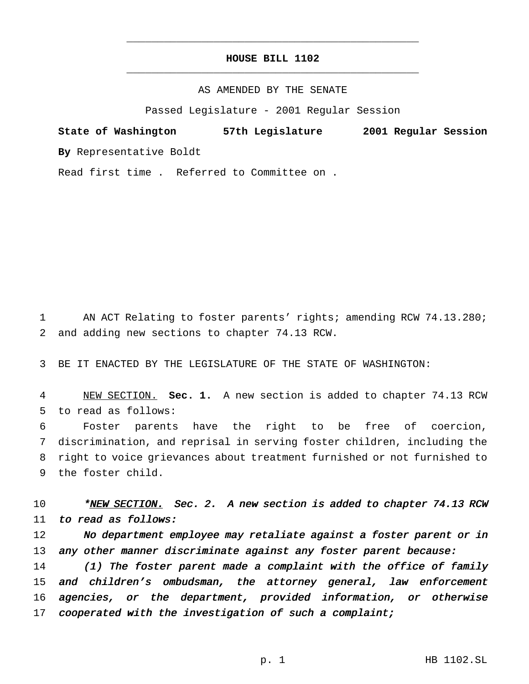## **HOUSE BILL 1102** \_\_\_\_\_\_\_\_\_\_\_\_\_\_\_\_\_\_\_\_\_\_\_\_\_\_\_\_\_\_\_\_\_\_\_\_\_\_\_\_\_\_\_\_\_\_\_

\_\_\_\_\_\_\_\_\_\_\_\_\_\_\_\_\_\_\_\_\_\_\_\_\_\_\_\_\_\_\_\_\_\_\_\_\_\_\_\_\_\_\_\_\_\_\_

## AS AMENDED BY THE SENATE

Passed Legislature - 2001 Regular Session

**State of Washington 57th Legislature 2001 Regular Session By** Representative Boldt

Read first time . Referred to Committee on .

1 AN ACT Relating to foster parents' rights; amending RCW 74.13.280; 2 and adding new sections to chapter 74.13 RCW.

3 BE IT ENACTED BY THE LEGISLATURE OF THE STATE OF WASHINGTON:

4 NEW SECTION. **Sec. 1.** A new section is added to chapter 74.13 RCW 5 to read as follows:

 Foster parents have the right to be free of coercion, discrimination, and reprisal in serving foster children, including the right to voice grievances about treatment furnished or not furnished to the foster child.

10 \*NEW SECTION. Sec. 2. A new section is added to chapter 74.13 RCW 11 to read as follows:

12 No department employee may retaliate against a foster parent or in 13 any other manner discriminate against any foster parent because:

14 (1) The foster parent made a complaint with the office of family 15 and children's ombudsman, the attorney general, law enforcement 16 agencies, or the department, provided information, or otherwise 17 cooperated with the investigation of such a complaint;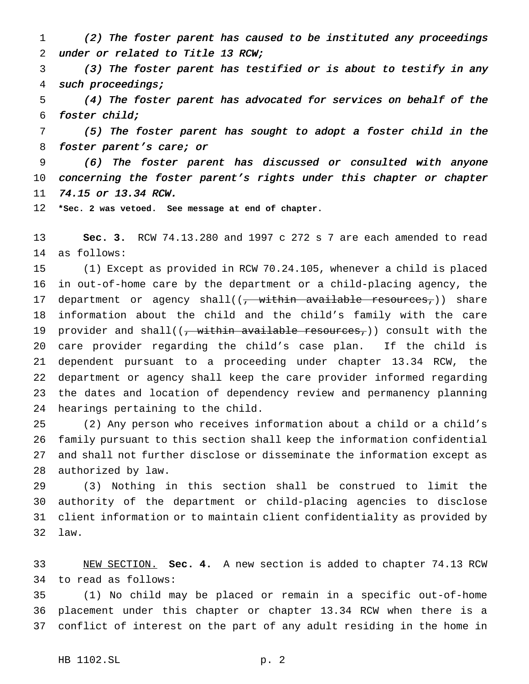(2) The foster parent has caused to be instituted any proceedings under or related to Title <sup>13</sup> RCW;

 (3) The foster parent has testified or is about to testify in any such proceedings;

 (4) The foster parent has advocated for services on behalf of the foster child;

 (5) The foster parent has sought to adopt <sup>a</sup> foster child in the 8 foster parent's care; or

 (6) The foster parent has discussed or consulted with anyone concerning the foster parent's rights under this chapter or chapter 74.15 or 13.34 RCW.

**\*Sec. 2 was vetoed. See message at end of chapter.**

 **Sec. 3.** RCW 74.13.280 and 1997 c 272 s 7 are each amended to read as follows:

 (1) Except as provided in RCW 70.24.105, whenever a child is placed in out-of-home care by the department or a child-placing agency, the 17 department or agency shall( $(-$  within available resources,)) share information about the child and the child's family with the care 19 provider and shall( $\frac{1}{2}$ , within available resources,)) consult with the care provider regarding the child's case plan. If the child is dependent pursuant to a proceeding under chapter 13.34 RCW, the department or agency shall keep the care provider informed regarding the dates and location of dependency review and permanency planning hearings pertaining to the child.

 (2) Any person who receives information about a child or a child's family pursuant to this section shall keep the information confidential and shall not further disclose or disseminate the information except as authorized by law.

 (3) Nothing in this section shall be construed to limit the authority of the department or child-placing agencies to disclose client information or to maintain client confidentiality as provided by law.

 NEW SECTION. **Sec. 4.** A new section is added to chapter 74.13 RCW to read as follows:

 (1) No child may be placed or remain in a specific out-of-home placement under this chapter or chapter 13.34 RCW when there is a conflict of interest on the part of any adult residing in the home in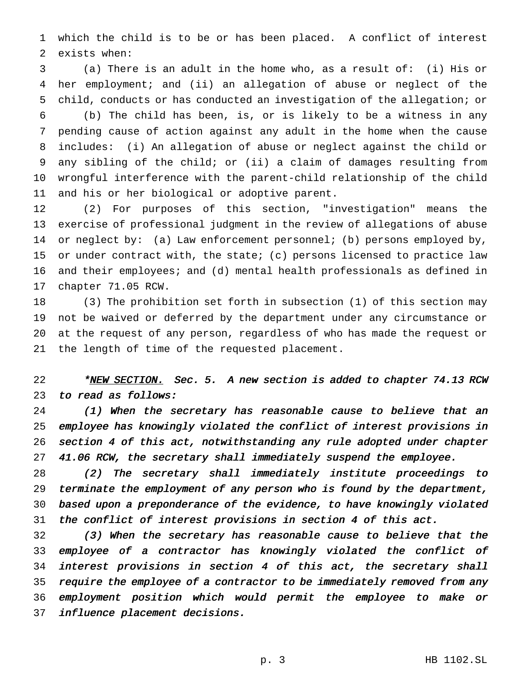which the child is to be or has been placed. A conflict of interest exists when:

 (a) There is an adult in the home who, as a result of: (i) His or her employment; and (ii) an allegation of abuse or neglect of the child, conducts or has conducted an investigation of the allegation; or

 (b) The child has been, is, or is likely to be a witness in any pending cause of action against any adult in the home when the cause includes: (i) An allegation of abuse or neglect against the child or any sibling of the child; or (ii) a claim of damages resulting from wrongful interference with the parent-child relationship of the child and his or her biological or adoptive parent.

 (2) For purposes of this section, "investigation" means the exercise of professional judgment in the review of allegations of abuse 14 or neglect by: (a) Law enforcement personnel; (b) persons employed by, or under contract with, the state; (c) persons licensed to practice law and their employees; and (d) mental health professionals as defined in chapter 71.05 RCW.

 (3) The prohibition set forth in subsection (1) of this section may not be waived or deferred by the department under any circumstance or at the request of any person, regardless of who has made the request or the length of time of the requested placement.

22 \*NEW SECTION. Sec. 5. A new section is added to chapter 74.13 RCW 23 to read as follows:

 (1) When the secretary has reasonable cause to believe that an employee has knowingly violated the conflict of interest provisions in section <sup>4</sup> of this act, notwithstanding any rule adopted under chapter 41.06 RCW, the secretary shall immediately suspend the employee.

 (2) The secretary shall immediately institute proceedings to terminate the employment of any person who is found by the department, based upon <sup>a</sup> preponderance of the evidence, to have knowingly violated the conflict of interest provisions in section <sup>4</sup> of this act.

 (3) When the secretary has reasonable cause to believe that the employee of <sup>a</sup> contractor has knowingly violated the conflict of interest provisions in section <sup>4</sup> of this act, the secretary shall 35 require the employee of a contractor to be immediately removed from any employment position which would permit the employee to make or influence placement decisions.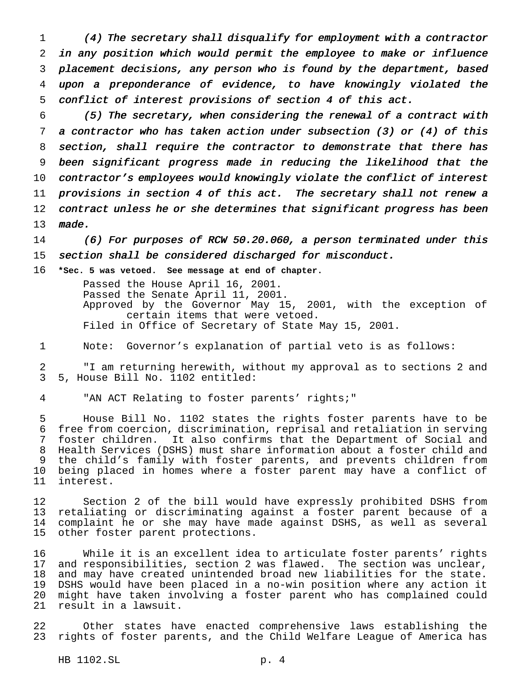(4) The secretary shall disqualify for employment with <sup>a</sup> contractor in any position which would permit the employee to make or influence placement decisions, any person who is found by the department, based upon <sup>a</sup> preponderance of evidence, to have knowingly violated the conflict of interest provisions of section <sup>4</sup> of this act.

 (5) The secretary, when considering the renewal of <sup>a</sup> contract with <sup>a</sup> contractor who has taken action under subsection (3) or (4) of this section, shall require the contractor to demonstrate that there has been significant progress made in reducing the likelihood that the contractor's employees would knowingly violate the conflict of interest provisions in section <sup>4</sup> of this act. The secretary shall not renew <sup>a</sup> 12 contract unless he or she determines that significant progress has been made.

 (6) For purposes of RCW 50.20.060, <sup>a</sup> person terminated under this section shall be considered discharged for misconduct.

**\*Sec. 5 was vetoed. See message at end of chapter.**

Passed the House April 16, 2001. Passed the Senate April 11, 2001. Approved by the Governor May 15, 2001, with the exception of certain items that were vetoed. Filed in Office of Secretary of State May 15, 2001.

Note: Governor's explanation of partial veto is as follows:

 "I am returning herewith, without my approval as to sections 2 and 5, House Bill No. 1102 entitled:

"AN ACT Relating to foster parents' rights;"

 House Bill No. 1102 states the rights foster parents have to be free from coercion, discrimination, reprisal and retaliation in serving foster children. It also confirms that the Department of Social and Health Services (DSHS) must share information about a foster child and the child's family with foster parents, and prevents children from being placed in homes where a foster parent may have a conflict of interest.

 Section 2 of the bill would have expressly prohibited DSHS from retaliating or discriminating against a foster parent because of a complaint he or she may have made against DSHS, as well as several other foster parent protections.

 While it is an excellent idea to articulate foster parents' rights and responsibilities, section 2 was flawed. The section was unclear, and may have created unintended broad new liabilities for the state. DSHS would have been placed in a no-win position where any action it might have taken involving a foster parent who has complained could result in a lawsuit.

 Other states have enacted comprehensive laws establishing the rights of foster parents, and the Child Welfare League of America has